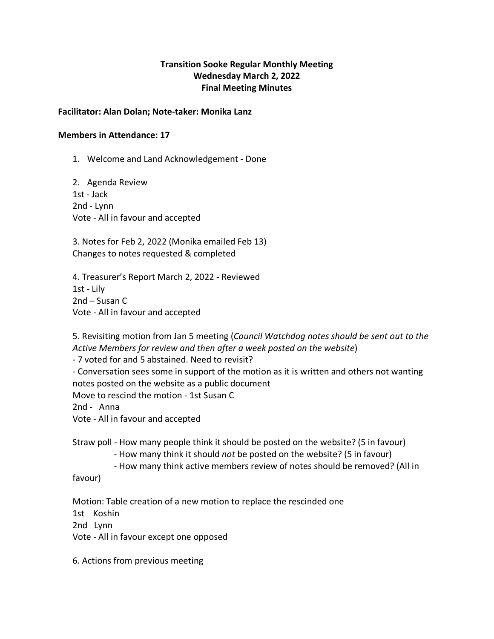### **Transition Sooke Regular Monthly Meeting Wednesday March 2, 2022 Final Meeting Minutes**

#### **Facilitator: Alan Dolan; Note-taker: Monika Lanz**

#### **Members in Attendance: 17**

1. Welcome and Land Acknowledgement - Done

2. Agenda Review 1st - Jack 2nd - Lynn Vote - All in favour and accepted

3. Notes for Feb 2, 2022 (Monika emailed Feb 13) Changes to notes requested & completed

4. Treasurer's Report March 2, 2022 - Reviewed 1st - Lily 2nd – Susan C Vote - All in favour and accepted

5. Revisiting motion from Jan 5 meeting (*Council Watchdog notes should be sent out to the Active Members for review and then after a week posted on the website*)

- 7 voted for and 5 abstained. Need to revisit?

- Conversation sees some in support of the motion as it is written and others not wanting notes posted on the website as a public document

Move to rescind the motion - 1st Susan C

2nd - Anna

Vote - All in favour and accepted

Straw poll - How many people think it should be posted on the website? (5 in favour)

- How many think it should *not* be posted on the website? (5 in favour)

- How many think active members review of notes should be removed? (All in

favour)

Motion: Table creation of a new motion to replace the rescinded one

1st Koshin

2nd Lynn

Vote - All in favour except one opposed

6. Actions from previous meeting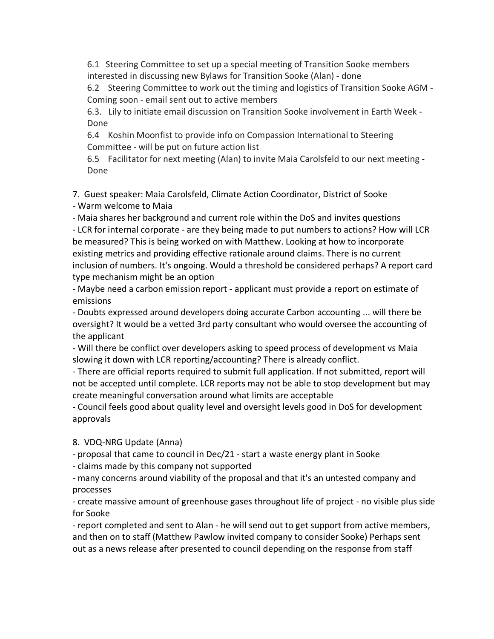6.1 Steering Committee to set up a special meeting of Transition Sooke members interested in discussing new Bylaws for Transition Sooke (Alan) - done

6.2 Steering Committee to work out the timing and logistics of Transition Sooke AGM - Coming soon - email sent out to active members

6.3. Lily to initiate email discussion on Transition Sooke involvement in Earth Week - Done

6.4 Koshin Moonfist to provide info on Compassion International to Steering Committee - will be put on future action list

6.5 Facilitator for next meeting (Alan) to invite Maia Carolsfeld to our next meeting - Done

7. Guest speaker: Maia Carolsfeld, Climate Action Coordinator, District of Sooke

- Warm welcome to Maia

- Maia shares her background and current role within the DoS and invites questions

- LCR for internal corporate - are they being made to put numbers to actions? How will LCR be measured? This is being worked on with Matthew. Looking at how to incorporate existing metrics and providing effective rationale around claims. There is no current inclusion of numbers. It's ongoing. Would a threshold be considered perhaps? A report card type mechanism might be an option

- Maybe need a carbon emission report - applicant must provide a report on estimate of emissions

- Doubts expressed around developers doing accurate Carbon accounting ... will there be oversight? It would be a vetted 3rd party consultant who would oversee the accounting of the applicant

- Will there be conflict over developers asking to speed process of development vs Maia slowing it down with LCR reporting/accounting? There is already conflict.

- There are official reports required to submit full application. If not submitted, report will not be accepted until complete. LCR reports may not be able to stop development but may create meaningful conversation around what limits are acceptable

- Council feels good about quality level and oversight levels good in DoS for development approvals

8. VDQ-NRG Update (Anna)

- proposal that came to council in Dec/21 - start a waste energy plant in Sooke

- claims made by this company not supported

- many concerns around viability of the proposal and that it's an untested company and processes

- create massive amount of greenhouse gases throughout life of project - no visible plus side for Sooke

- report completed and sent to Alan - he will send out to get support from active members, and then on to staff (Matthew Pawlow invited company to consider Sooke) Perhaps sent out as a news release after presented to council depending on the response from staff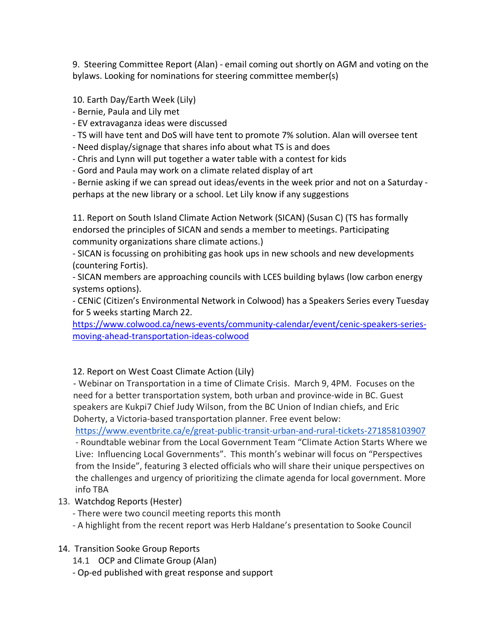9. Steering Committee Report (Alan) - email coming out shortly on AGM and voting on the bylaws. Looking for nominations for steering committee member(s)

10. Earth Day/Earth Week (Lily)

- Bernie, Paula and Lily met

- EV extravaganza ideas were discussed

- TS will have tent and DoS will have tent to promote 7% solution. Alan will oversee tent

- Need display/signage that shares info about what TS is and does

- Chris and Lynn will put together a water table with a contest for kids

- Gord and Paula may work on a climate related display of art

- Bernie asking if we can spread out ideas/events in the week prior and not on a Saturday perhaps at the new library or a school. Let Lily know if any suggestions

11. Report on South Island Climate Action Network (SICAN) (Susan C) (TS has formally endorsed the principles of SICAN and sends a member to meetings. Participating community organizations share climate actions.)

- SICAN is focussing on prohibiting gas hook ups in new schools and new developments (countering Fortis).

- SICAN members are approaching councils with LCES building bylaws (low carbon energy systems options).

- CENiC (Citizen's Environmental Network in Colwood) has a Speakers Series every Tuesday for 5 weeks starting March 22.

https://www.colwood.ca/news-events/community-calendar/event/cenic-speakers-seriesmoving-ahead-transportation-ideas-colwood

## 12. Report on West Coast Climate Action (Lily)

 - Webinar on Transportation in a time of Climate Crisis. March 9, 4PM. Focuses on the need for a better transportation system, both urban and province-wide in BC. Guest speakers are Kukpi7 Chief Judy Wilson, from the BC Union of Indian chiefs, and Eric Doherty, a Victoria-based transportation planner. Free event below:

 https://www.eventbrite.ca/e/great-public-transit-urban-and-rural-tickets-271858103907 - Roundtable webinar from the Local Government Team "Climate Action Starts Where we Live: Influencing Local Governments". This month's webinar will focus on "Perspectives from the Inside", featuring 3 elected officials who will share their unique perspectives on the challenges and urgency of prioritizing the climate agenda for local government. More info TBA

13. Watchdog Reports (Hester)

- There were two council meeting reports this month

- A highlight from the recent report was Herb Haldane's presentation to Sooke Council
- 14. Transition Sooke Group Reports
	- 14.1 OCP and Climate Group (Alan)
	- Op-ed published with great response and support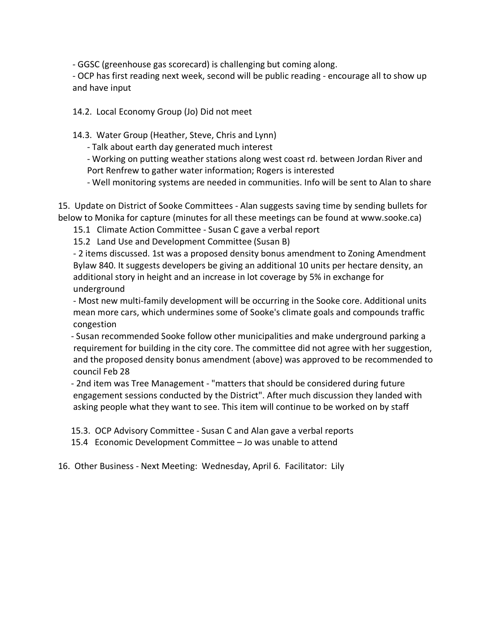- GGSC (greenhouse gas scorecard) is challenging but coming along.

- OCP has first reading next week, second will be public reading - encourage all to show up and have input

14.2. Local Economy Group (Jo) Did not meet

14.3. Water Group (Heather, Steve, Chris and Lynn)

- Talk about earth day generated much interest

- Working on putting weather stations along west coast rd. between Jordan River and Port Renfrew to gather water information; Rogers is interested

- Well monitoring systems are needed in communities. Info will be sent to Alan to share

15. Update on District of Sooke Committees - Alan suggests saving time by sending bullets for below to Monika for capture (minutes for all these meetings can be found at www.sooke.ca)

15.1 Climate Action Committee - Susan C gave a verbal report

15.2 Land Use and Development Committee (Susan B)

 - 2 items discussed. 1st was a proposed density bonus amendment to Zoning Amendment Bylaw 840. It suggests developers be giving an additional 10 units per hectare density, an additional story in height and an increase in lot coverage by 5% in exchange for underground

 - Most new multi-family development will be occurring in the Sooke core. Additional units mean more cars, which undermines some of Sooke's climate goals and compounds traffic congestion

 - Susan recommended Sooke follow other municipalities and make underground parking a requirement for building in the city core. The committee did not agree with her suggestion, and the proposed density bonus amendment (above) was approved to be recommended to council Feb 28

 - 2nd item was Tree Management - "matters that should be considered during future engagement sessions conducted by the District". After much discussion they landed with asking people what they want to see. This item will continue to be worked on by staff

15.3. OCP Advisory Committee - Susan C and Alan gave a verbal reports

15.4 Economic Development Committee – Jo was unable to attend

16. Other Business - Next Meeting: Wednesday, April 6. Facilitator: Lily